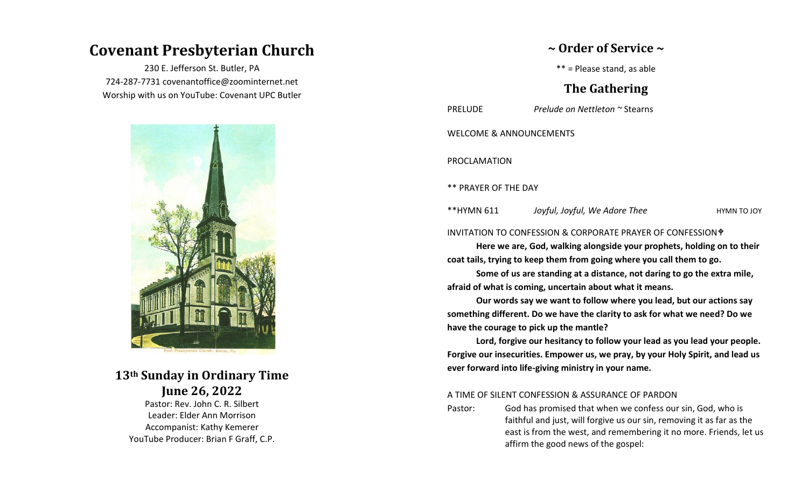# **Covenant Presbyterian Church**

230 E. Jefferson St. Butler, PA 724-287-7731 covenantoffice@zoominternet.net Worship with us on YouTube: Covenant UPC Butler



**13th Sunday in Ordinary Time June 26, 2022**

Pastor: Rev. John C. R. Silbert Leader: Elder Ann Morrison Accompanist: Kathy Kemerer YouTube Producer: Brian F Graff, C.P.

### **~ Order of Service ~**

\*\* = Please stand, as able

## **The Gathering**

PRELUDE *Prelude on Nettleton ~* Stearns

WELCOME & ANNOUNCEMENTS

PROCLAMATION

\*\* PRAYER OF THE DAY

\*\*HYMN 611 *Joyful, Joyful, We Adore Thee* HYMN TO JOY

#### INVITATION TO CONFESSION & CORPORATE PRAYER OF CONFESSION

**Here we are, God, walking alongside your prophets, holding on to their coat tails, trying to keep them from going where you call them to go.**

**Some of us are standing at a distance, not daring to go the extra mile, afraid of what is coming, uncertain about what it means.**

**Our words say we want to follow where you lead, but our actions say something different. Do we have the clarity to ask for what we need? Do we have the courage to pick up the mantle?**

**Lord, forgive our hesitancy to follow your lead as you lead your people. Forgive our insecurities. Empower us, we pray, by your Holy Spirit, and lead us ever forward into life-giving ministry in your name.**

#### A TIME OF SILENT CONFESSION & ASSURANCE OF PARDON

Pastor: God has promised that when we confess our sin, God, who is faithful and just, will forgive us our sin, removing it as far as the east is from the west, and remembering it no more. Friends, let us affirm the good news of the gospel: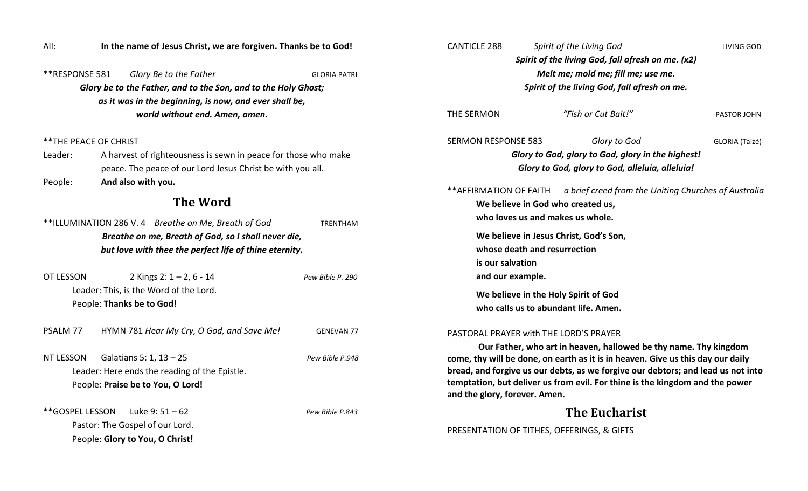| All: | In the name of Jesus Christ, we are forgiven. Thanks be to God! |
|------|-----------------------------------------------------------------|
|------|-----------------------------------------------------------------|

\*\*RESPONSE 581 *Glory Be to the Father* GLORIA PATRI *Glory be to the Father, and to the Son, and to the Holy Ghost; as it was in the beginning, is now, and ever shall be, world without end. Amen, amen.*

### \*\*THE PEACE OF CHRIST

Leader: A harvest of righteousness is sewn in peace for those who make peace. The peace of our Lord Jesus Christ be with you all. People: **And also with you.**

### **The Word**

|                                                                                                               | **ILLUMINATION 286 V.4 Breathe on Me, Breath of God | <b>TRENTHAM</b>   |  |  |  |  |  |
|---------------------------------------------------------------------------------------------------------------|-----------------------------------------------------|-------------------|--|--|--|--|--|
| Breathe on me, Breath of God, so I shall never die,<br>but love with thee the perfect life of thine eternity. |                                                     |                   |  |  |  |  |  |
|                                                                                                               |                                                     |                   |  |  |  |  |  |
|                                                                                                               | Leader: This, is the Word of the Lord.              |                   |  |  |  |  |  |
|                                                                                                               | People: Thanks be to God!                           |                   |  |  |  |  |  |
| PSALM 77                                                                                                      | HYMN 781 Hear My Cry, O God, and Save Me!           | <b>GENEVAN 77</b> |  |  |  |  |  |
| NT LESSON                                                                                                     | Galatians 5: 1, $13 - 25$                           | Pew Bible P.948   |  |  |  |  |  |
|                                                                                                               | Leader: Here ends the reading of the Epistle.       |                   |  |  |  |  |  |
|                                                                                                               | People: Praise be to You, O Lord!                   |                   |  |  |  |  |  |
|                                                                                                               | **GOSPEL LESSON Luke $9:51-62$                      | Pew Bible P.843   |  |  |  |  |  |
|                                                                                                               | Pastor: The Gospel of our Lord.                     |                   |  |  |  |  |  |
|                                                                                                               | People: Glory to You, O Christ!                     |                   |  |  |  |  |  |

| <b>CANTICLE 288</b><br>Spirit of the Living God<br>LIVING GOD<br>Spirit of the living God, fall afresh on me. (x2)<br>Melt me; mold me; fill me; use me.<br>Spirit of the living God, fall afresh on me.                                                                                                                                                                                                  |                                                   |                                                 |              |  |                    |  |  |
|-----------------------------------------------------------------------------------------------------------------------------------------------------------------------------------------------------------------------------------------------------------------------------------------------------------------------------------------------------------------------------------------------------------|---------------------------------------------------|-------------------------------------------------|--------------|--|--------------------|--|--|
| THE SERMON                                                                                                                                                                                                                                                                                                                                                                                                |                                                   | "Fish or Cut Bait!"                             |              |  | <b>PASTOR JOHN</b> |  |  |
| <b>SERMON RESPONSE 583</b>                                                                                                                                                                                                                                                                                                                                                                                | Glory to God, glory to God, glory in the highest! | Glory to God, glory to God, alleluia, alleluia! | Glory to God |  | GLORIA (Taizé)     |  |  |
| ** AFFIRMATION OF FAITH a brief creed from the Uniting Churches of Australia<br>We believe in God who created us,<br>who loves us and makes us whole.                                                                                                                                                                                                                                                     |                                                   |                                                 |              |  |                    |  |  |
| We believe in Jesus Christ, God's Son,<br>whose death and resurrection<br>is our salvation<br>and our example.                                                                                                                                                                                                                                                                                            |                                                   |                                                 |              |  |                    |  |  |
| We believe in the Holy Spirit of God<br>who calls us to abundant life. Amen.                                                                                                                                                                                                                                                                                                                              |                                                   |                                                 |              |  |                    |  |  |
| PASTORAL PRAYER with THE LORD'S PRAYER<br>Our Father, who art in heaven, hallowed be thy name. Thy kingdom<br>come, thy will be done, on earth as it is in heaven. Give us this day our daily<br>bread, and forgive us our debts, as we forgive our debtors; and lead us not into<br>temptation, but deliver us from evil. For thine is the kingdom and the power<br>and the glory, forever. Amen.<br>--- |                                                   |                                                 |              |  |                    |  |  |

# **The Eucharist**

PRESENTATION OF TITHES, OFFERINGS, & GIFTS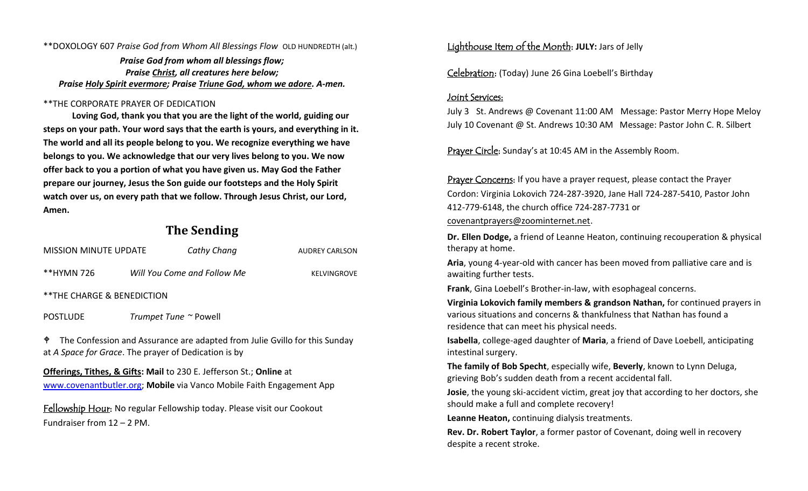\*\*DOXOLOGY 607 *Praise God from Whom All Blessings Flow* OLD HUNDREDTH (alt.)

*Praise God from whom all blessings flow; Praise Christ, all creatures here below; Praise Holy Spirit evermore; Praise Triune God, whom we adore. A-men.*

### \*\*THE CORPORATE PRAYER OF DEDICATION

**Loving God, thank you that you are the light of the world, guiding our steps on your path. Your word says that the earth is yours, and everything in it. The world and all its people belong to you. We recognize everything we have belongs to you. We acknowledge that our very lives belong to you. We now offer back to you a portion of what you have given us. May God the Father prepare our journey, Jesus the Son guide our footsteps and the Holy Spirit watch over us, on every path that we follow. Through Jesus Christ, our Lord, Amen.**

### **The Sending**

| <b>MISSION MINUTE UPDATE</b> | Cathy Chang                 | <b>AUDREY CARLSON</b> |
|------------------------------|-----------------------------|-----------------------|
| **HYMN 726                   | Will You Come and Follow Me | KELVINGROVE           |

\*\*THE CHARGE & BENEDICTION

POSTLUDE *Trumpet Tune ~* Powell

 $\angle$  The Confession and Assurance are adapted from Julie Gvillo for this Sunday at *A Space for Grace*. The prayer of Dedication is by

**Offerings, Tithes, & Gifts: Mail** to 230 E. Jefferson St.; **Online** at [www.covenantbutler.org;](http://www.covenantbutler.org/) **Mobile** via Vanco Mobile Faith Engagement App

Fellowship Hour: No regular Fellowship today. Please visit our Cookout Fundraiser from 12 – 2 PM.

Lighthouse Item of the Month: **JULY:** Jars of Jelly

Celebration: (Today) June 26 Gina Loebell's Birthday

### Joint Services:

July 3 St. Andrews @ Covenant 11:00 AM Message: Pastor Merry Hope Meloy July 10 Covenant @ St. Andrews 10:30 AM Message: Pastor John C. R. Silbert

Prayer Circle: Sunday's at 10:45 AM in the Assembly Room.

Prayer Concerns: If you have a prayer request, please contact the Prayer Cordon: Virginia Lokovich 724-287-3920, Jane Hall 724-287-5410, Pastor John 412-779-6148, the church office 724-287-7731 or [covenantprayers@zoominternet.net.](mailto:covenantprayers@zoominternet.net)

**Dr. Ellen Dodge,** a friend of Leanne Heaton, continuing recouperation & physical therapy at home.

**Aria**, young 4-year-old with cancer has been moved from palliative care and is awaiting further tests.

**Frank**, Gina Loebell's Brother-in-law, with esophageal concerns.

**Virginia Lokovich family members & grandson Nathan,** for continued prayers in various situations and concerns & thankfulness that Nathan has found a residence that can meet his physical needs.

**Isabella**, college-aged daughter of **Maria**, a friend of Dave Loebell, anticipating intestinal surgery.

**The family of Bob Specht**, especially wife, **Beverly**, known to Lynn Deluga, grieving Bob's sudden death from a recent accidental fall.

**Josie**, the young ski-accident victim, great joy that according to her doctors, she should make a full and complete recovery!

**Leanne Heaton,** continuing dialysis treatments.

**Rev. Dr. Robert Taylor**, a former pastor of Covenant, doing well in recovery despite a recent stroke.